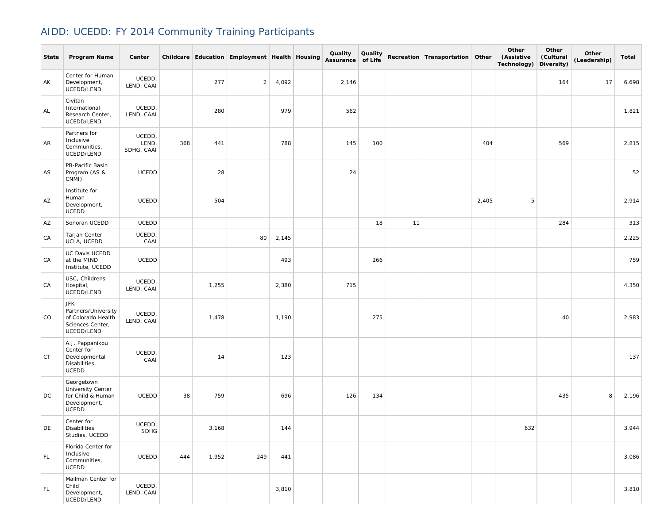## AIDD: UCEDD: FY 2014 Community Training Participants

| State | Program Name                                                                       | Center                        |     |       | Childcare Education Employment Health Housing |       | Quality<br>Assurance of Life | Quality |    | Recreation Transportation Other |       | Other<br>(Assistive<br>Technology) | Other<br>(Cultural<br>Diversity) | Other<br>(Leadership) | Total |
|-------|------------------------------------------------------------------------------------|-------------------------------|-----|-------|-----------------------------------------------|-------|------------------------------|---------|----|---------------------------------|-------|------------------------------------|----------------------------------|-----------------------|-------|
| AK    | Center for Human<br>Development,<br>UCEDD/LEND                                     | UCEDD,<br>LEND, CAAI          |     | 277   | $\overline{2}$                                | 4,092 | 2,146                        |         |    |                                 |       |                                    | 164                              | 17                    | 6,698 |
| AL    | Civitan<br>International<br>Research Center,<br>UCEDD/LEND                         | UCEDD,<br>LEND, CAAI          |     | 280   |                                               | 979   | 562                          |         |    |                                 |       |                                    |                                  |                       | 1,821 |
| AR    | Partners for<br>Inclusive<br>Communities,<br>UCEDD/LEND                            | UCEDD,<br>LEND,<br>SDHG, CAAI | 368 | 441   |                                               | 788   | 145                          | 100     |    |                                 | 404   |                                    | 569                              |                       | 2,815 |
| AS    | PB-Pacific Basin<br>Program (AS &<br>CNMI)                                         | <b>UCEDD</b>                  |     | 28    |                                               |       | 24                           |         |    |                                 |       |                                    |                                  |                       | 52    |
| AZ    | Institute for<br>Human<br>Development,<br>UCEDD                                    | UCEDD                         |     | 504   |                                               |       |                              |         |    |                                 | 2,405 | 5                                  |                                  |                       | 2,914 |
| AZ    | Sonoran UCEDD                                                                      | <b>UCEDD</b>                  |     |       |                                               |       |                              | 18      | 11 |                                 |       |                                    | 284                              |                       | 313   |
| CA    | Tarjan Center<br>UCLA, UCEDD                                                       | UCEDD,<br>CAAI                |     |       | 80                                            | 2,145 |                              |         |    |                                 |       |                                    |                                  |                       | 2,225 |
| CA    | UC Davis UCEDD<br>at the MIND<br>Institute, UCEDD                                  | UCEDD                         |     |       |                                               | 493   |                              | 266     |    |                                 |       |                                    |                                  |                       | 759   |
| CA    | USC, Childrens<br>Hospital,<br>UCEDD/LEND                                          | UCEDD,<br>LEND, CAAI          |     | 1,255 |                                               | 2,380 | 715                          |         |    |                                 |       |                                    |                                  |                       | 4,350 |
| CO    | JFK<br>Partners/University<br>of Colorado Health<br>Sciences Center,<br>UCEDD/LEND | UCEDD,<br>LEND, CAAI          |     | 1,478 |                                               | 1,190 |                              | 275     |    |                                 |       |                                    | 40                               |                       | 2,983 |
| CT    | A.J. Pappanikou<br>Center for<br>Developmental<br>Disabilities,<br><b>UCEDD</b>    | UCEDD,<br>CAAI                |     | 14    |                                               | 123   |                              |         |    |                                 |       |                                    |                                  |                       | 137   |
| DC    | Georgetown<br>University Center<br>for Child & Human<br>Development,<br>UCEDD      | UCEDD                         | 38  | 759   |                                               | 696   | 126                          | 134     |    |                                 |       |                                    | 435                              | 8                     | 2,196 |
| DE    | Center for<br><b>Disabilities</b><br>Studies, UCEDD                                | UCEDD,<br><b>SDHG</b>         |     | 3,168 |                                               | 144   |                              |         |    |                                 |       | 632                                |                                  |                       | 3,944 |
| FL.   | Florida Center for<br>Inclusive<br>Communities,<br>UCEDD                           | UCEDD                         | 444 | 1,952 | 249                                           | 441   |                              |         |    |                                 |       |                                    |                                  |                       | 3,086 |
| FL.   | Mailman Center for<br>Child<br>Development,<br>UCEDD/LEND                          | UCEDD,<br>LEND, CAAI          |     |       |                                               | 3,810 |                              |         |    |                                 |       |                                    |                                  |                       | 3,810 |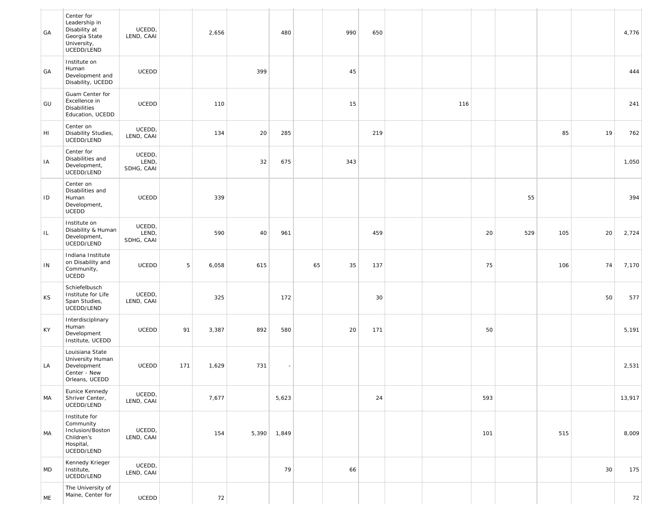| GA  | Center for<br>Leadership in<br>Disability at<br>Georgia State<br>University,<br>UCEDD/LEND | UCEDD,<br>LEND, CAAI          |     | 2,656 |       | 480   |    | 990 | 650 |     |     |     |     |    | 4,776  |
|-----|--------------------------------------------------------------------------------------------|-------------------------------|-----|-------|-------|-------|----|-----|-----|-----|-----|-----|-----|----|--------|
| GA  | Institute on<br>Human<br>Development and<br>Disability, UCEDD                              | <b>UCEDD</b>                  |     |       | 399   |       |    | 45  |     |     |     |     |     |    | 444    |
| GU  | Guam Center for<br>Excellence in<br><b>Disabilities</b><br>Education, UCEDD                | <b>UCEDD</b>                  |     | 110   |       |       |    | 15  |     | 116 |     |     |     |    | 241    |
| HI  | Center on<br>Disability Studies,<br>UCEDD/LEND                                             | UCEDD,<br>LEND, CAAI          |     | 134   | 20    | 285   |    |     | 219 |     |     |     | 85  | 19 | 762    |
| IA  | Center for<br>Disabilities and<br>Development,<br>UCEDD/LEND                               | UCEDD,<br>LEND,<br>SDHG, CAAI |     |       | 32    | 675   |    | 343 |     |     |     |     |     |    | 1,050  |
| ID  | Center on<br>Disabilities and<br>Human<br>Development,<br>UCEDD                            | UCEDD                         |     | 339   |       |       |    |     |     |     |     | 55  |     |    | 394    |
| IL. | Institute on<br>Disability & Human<br>Development,<br>UCEDD/LEND                           | UCEDD,<br>LEND,<br>SDHG, CAAI |     | 590   | 40    | 961   |    |     | 459 |     | 20  | 529 | 105 | 20 | 2,724  |
| IN  | Indiana Institute<br>on Disability and<br>Community,<br>UCEDD                              | <b>UCEDD</b>                  | 5   | 6,058 | 615   |       | 65 | 35  | 137 |     | 75  |     | 106 | 74 | 7,170  |
| KS  | Schiefelbusch<br>Institute for Life<br>Span Studies,<br>UCEDD/LEND                         | UCEDD,<br>LEND, CAAI          |     | 325   |       | 172   |    |     | 30  |     |     |     |     | 50 | 577    |
| KY  | Interdisciplinary<br>Human<br>Development<br>Institute, UCEDD                              | <b>UCEDD</b>                  | 91  | 3,387 | 892   | 580   |    | 20  | 171 |     | 50  |     |     |    | 5,191  |
| LA  | Louisiana State<br>University Human<br>Development<br>Center - New<br>Orleans, UCEDD       | <b>UCEDD</b>                  | 171 | 1,629 | 731   |       |    |     |     |     |     |     |     |    | 2,531  |
| MA  | Eunice Kennedy<br>Shriver Center,<br>UCEDD/LEND                                            | UCEDD,<br>LEND, CAAI          |     | 7,677 |       | 5,623 |    |     | 24  |     | 593 |     |     |    | 13,917 |
| MA  | Institute for<br>Community<br>Inclusion/Boston<br>Children's<br>Hospital,<br>UCEDD/LEND    | UCEDD,<br>LEND, CAAI          |     | 154   | 5,390 | 1,849 |    |     |     |     | 101 |     | 515 |    | 8,009  |
| MD  | Kennedy Krieger<br>Institute,<br>UCEDD/LEND                                                | UCEDD,<br>LEND, CAAI          |     |       |       | 79    |    | 66  |     |     |     |     |     | 30 | 175    |
| ME  | The University of<br>Maine, Center for                                                     | UCEDD                         |     | 72    |       |       |    |     |     |     |     |     |     |    | 72     |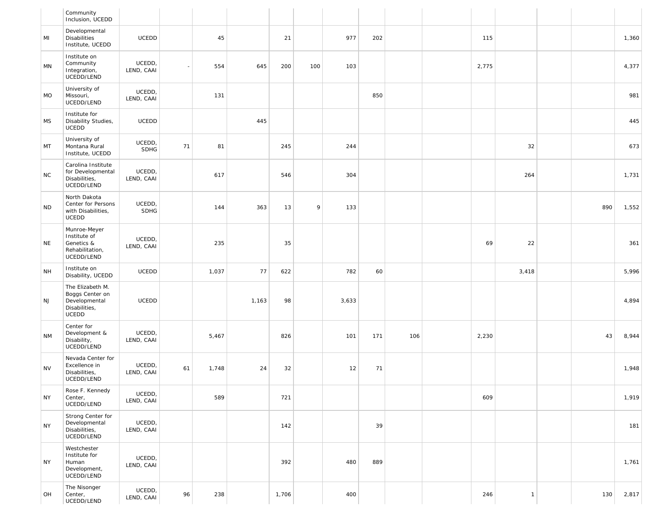|           | Community<br>Inclusion, UCEDD                                                         |                       |    |       |       |       |     |       |     |     |       |              |     |       |
|-----------|---------------------------------------------------------------------------------------|-----------------------|----|-------|-------|-------|-----|-------|-----|-----|-------|--------------|-----|-------|
| MI        | Developmental<br><b>Disabilities</b><br>Institute, UCEDD                              | <b>UCEDD</b>          |    | 45    |       | 21    |     | 977   | 202 |     | 115   |              |     | 1,360 |
| MN        | Institute on<br>Community<br>Integration,<br>UCEDD/LEND                               | UCEDD,<br>LEND, CAAI  |    | 554   | 645   | 200   | 100 | 103   |     |     | 2,775 |              |     | 4,377 |
| MO        | University of<br>Missouri,<br>UCEDD/LEND                                              | UCEDD,<br>LEND, CAAI  |    | 131   |       |       |     |       | 850 |     |       |              |     | 981   |
| MS        | Institute for<br>Disability Studies,<br>UCEDD                                         | <b>UCEDD</b>          |    |       | 445   |       |     |       |     |     |       |              |     | 445   |
| MT        | University of<br>Montana Rural<br>Institute, UCEDD                                    | UCEDD,<br><b>SDHG</b> | 71 | 81    |       | 245   |     | 244   |     |     |       | 32           |     | 673   |
| <b>NC</b> | Carolina Institute<br>for Developmental<br>Disabilities,<br>UCEDD/LEND                | UCEDD,<br>LEND, CAAI  |    | 617   |       | 546   |     | 304   |     |     |       | 264          |     | 1,731 |
| <b>ND</b> | North Dakota<br>Center for Persons<br>with Disabilities,<br><b>UCEDD</b>              | UCEDD,<br><b>SDHG</b> |    | 144   | 363   | 13    | 9   | 133   |     |     |       |              | 890 | 1,552 |
| <b>NE</b> | Munroe-Meyer<br>Institute of<br>Genetics &<br>Rehabilitation,<br>UCEDD/LEND           | UCEDD,<br>LEND, CAAI  |    | 235   |       | 35    |     |       |     |     | 69    | 22           |     | 361   |
| <b>NH</b> | Institute on<br>Disability, UCEDD                                                     | <b>UCEDD</b>          |    | 1,037 | 77    | 622   |     | 782   | 60  |     |       | 3,418        |     | 5,996 |
| NJ        | The Elizabeth M.<br>Boggs Center on<br>Developmental<br>Disabilities,<br><b>UCEDD</b> | <b>UCEDD</b>          |    |       | 1,163 | 98    |     | 3,633 |     |     |       |              |     | 4,894 |
| <b>NM</b> | Center for<br>Development &<br>Disability,<br>UCEDD/LEND                              | UCEDD,<br>LEND, CAAI  |    | 5,467 |       | 826   |     | 101   | 171 | 106 | 2,230 |              | 43  | 8,944 |
| <b>NV</b> | Nevada Center for<br>Excellence in<br>Disabilities,<br>UCEDD/LEND                     | UCEDD,<br>LEND, CAAI  | 61 | 1,748 | 24    | 32    |     | 12    | 71  |     |       |              |     | 1,948 |
| <b>NY</b> | Rose F. Kennedy<br>Center,<br>UCEDD/LEND                                              | UCEDD,<br>LEND, CAAI  |    | 589   |       | 721   |     |       |     |     | 609   |              |     | 1,919 |
| <b>NY</b> | Strong Center for<br>Developmental<br>Disabilities,<br>UCEDD/LEND                     | UCEDD,<br>LEND, CAAI  |    |       |       | 142   |     |       | 39  |     |       |              |     | 181   |
| <b>NY</b> | Westchester<br>Institute for<br>Human<br>Development,<br>UCEDD/LEND                   | UCEDD,<br>LEND, CAAI  |    |       |       | 392   |     | 480   | 889 |     |       |              |     | 1,761 |
| OH        | The Nisonger<br>Center,<br>UCEDD/LEND                                                 | UCEDD,<br>LEND, CAAI  | 96 | 238   |       | 1,706 |     | 400   |     |     | 246   | $\mathbf{1}$ | 130 | 2,817 |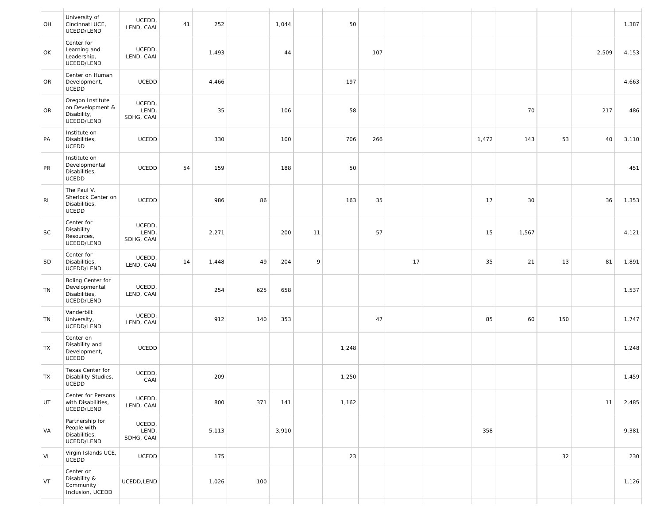| OH        | University of<br>Cincinnati UCE,<br>UCEDD/LEND                           | UCEDD,<br>LEND, CAAI          | 41 | 252   |     | 1,044 |    | 50    |     |    |       |       |     |       | 1,387 |
|-----------|--------------------------------------------------------------------------|-------------------------------|----|-------|-----|-------|----|-------|-----|----|-------|-------|-----|-------|-------|
| OK        | Center for<br>Learning and<br>Leadership,<br>UCEDD/LEND                  | UCEDD,<br>LEND, CAAI          |    | 1,493 |     | 44    |    |       | 107 |    |       |       |     | 2,509 | 4,153 |
| OR        | Center on Human<br>Development,<br>UCEDD                                 | UCEDD                         |    | 4,466 |     |       |    | 197   |     |    |       |       |     |       | 4,663 |
| <b>OR</b> | Oregon Institute<br>on Development &<br>Disability,<br>UCEDD/LEND        | UCEDD,<br>LEND,<br>SDHG, CAAI |    | 35    |     | 106   |    | 58    |     |    |       | 70    |     | 217   | 486   |
| PA        | Institute on<br>Disabilities,<br><b>UCEDD</b>                            | UCEDD                         |    | 330   |     | 100   |    | 706   | 266 |    | 1,472 | 143   | 53  | 40    | 3,110 |
| PR        | Institute on<br>Developmental<br>Disabilities,<br>UCEDD                  | UCEDD                         | 54 | 159   |     | 188   |    | 50    |     |    |       |       |     |       | 451   |
| RI        | The Paul V.<br>Sherlock Center on<br>Disabilities,<br><b>UCEDD</b>       | UCEDD                         |    | 986   | 86  |       |    | 163   | 35  |    | 17    | 30    |     | 36    | 1,353 |
| SC        | Center for<br>Disability<br>Resources,<br>UCEDD/LEND                     | UCEDD,<br>LEND,<br>SDHG, CAAI |    | 2,271 |     | 200   | 11 |       | 57  |    | 15    | 1,567 |     |       | 4,121 |
| SD        | Center for<br>Disabilities,<br>UCEDD/LEND                                | UCEDD,<br>LEND, CAAI          | 14 | 1,448 | 49  | 204   | 9  |       |     | 17 | 35    | 21    | 13  | 81    | 1,891 |
| TN        | <b>Boling Center for</b><br>Developmental<br>Disabilities,<br>UCEDD/LEND | UCEDD,<br>LEND, CAAI          |    | 254   | 625 | 658   |    |       |     |    |       |       |     |       | 1,537 |
| TN        | Vanderbilt<br>University,<br>UCEDD/LEND                                  | UCEDD,<br>LEND, CAAI          |    | 912   | 140 | 353   |    |       | 47  |    | 85    | 60    | 150 |       | 1,747 |
| TX        | Center on<br>Disability and<br>Development,<br>UCEDD                     | UCEDD                         |    |       |     |       |    | 1,248 |     |    |       |       |     |       | 1,248 |
| TX        | Texas Center for<br>Disability Studies,<br><b>UCEDD</b>                  | UCEDD,<br>CAAI                |    | 209   |     |       |    | 1,250 |     |    |       |       |     |       | 1,459 |
| UT        | Center for Persons<br>with Disabilities,<br>UCEDD/LEND                   | UCEDD,<br>LEND, CAAI          |    | 800   | 371 | 141   |    | 1,162 |     |    |       |       |     | 11    | 2,485 |
| VA        | Partnership for<br>People with<br>Disabilities,<br>UCEDD/LEND            | UCEDD,<br>LEND,<br>SDHG, CAAI |    | 5,113 |     | 3,910 |    |       |     |    | 358   |       |     |       | 9,381 |
| VI        | Virgin Islands UCE,<br>UCEDD                                             | UCEDD                         |    | 175   |     |       |    | 23    |     |    |       |       | 32  |       | 230   |
| VT        | Center on<br>Disability &<br>Community<br>Inclusion, UCEDD               | UCEDD, LEND                   |    | 1,026 | 100 |       |    |       |     |    |       |       |     |       | 1,126 |